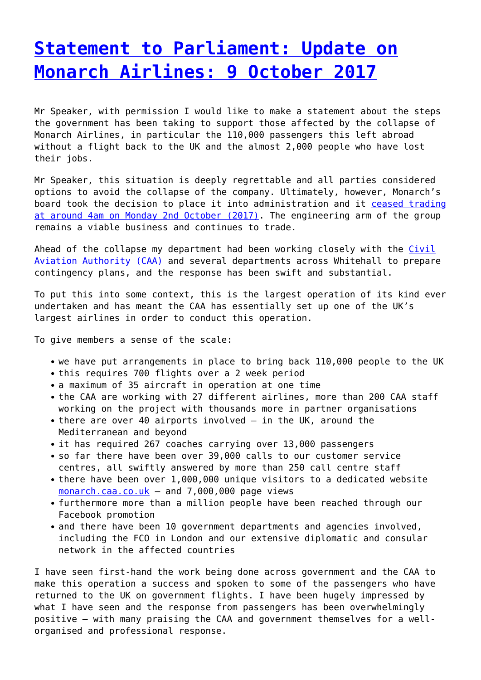## **[Statement to Parliament: Update on](http://www.government-world.com/statement-to-parliament-update-on-monarch-airlines-9-october-2017/) [Monarch Airlines: 9 October 2017](http://www.government-world.com/statement-to-parliament-update-on-monarch-airlines-9-october-2017/)**

Mr Speaker, with permission I would like to make a statement about the steps the government has been taking to support those affected by the collapse of Monarch Airlines, in particular the 110,000 passengers this left abroad without a flight back to the UK and the almost 2,000 people who have lost their jobs.

Mr Speaker, this situation is deeply regrettable and all parties considered options to avoid the collapse of the company. Ultimately, however, Monarch's board took the decision to place it into administration and it [ceased trading](https://www.gov.uk/government/news/government-launches-huge-repatriation-effort-after-monarch-collapse) [at around 4am on Monday 2nd October \(2017\).](https://www.gov.uk/government/news/government-launches-huge-repatriation-effort-after-monarch-collapse) The engineering arm of the group remains a viable business and continues to trade.

Ahead of the collapse my department had been working closely with the [Civil](https://www.caa.co.uk/home/) [Aviation Authority \(CAA\)](https://www.caa.co.uk/home/) and several departments across Whitehall to prepare contingency plans, and the response has been swift and substantial.

To put this into some context, this is the largest operation of its kind ever undertaken and has meant the CAA has essentially set up one of the UK's largest airlines in order to conduct this operation.

To give members a sense of the scale:

- we have put arrangements in place to bring back 110,000 people to the UK
- this requires 700 flights over a 2 week period
- a maximum of 35 aircraft in operation at one time
- the CAA are working with 27 different airlines, more than 200 CAA staff working on the project with thousands more in partner organisations
- there are over 40 airports involved in the UK, around the Mediterranean and beyond
- it has required 267 coaches carrying over 13,000 passengers
- so far there have been over 39,000 calls to our customer service centres, all swiftly answered by more than 250 call centre staff
- there have been over 1,000,000 unique visitors to a dedicated website [monarch.caa.co.uk](http://monarch.caa.co.uk/) – and 7,000,000 page views
- furthermore more than a million people have been reached through our Facebook promotion
- and there have been 10 government departments and agencies involved, including the FCO in London and our extensive diplomatic and consular network in the affected countries

I have seen first-hand the work being done across government and the CAA to make this operation a success and spoken to some of the passengers who have returned to the UK on government flights. I have been hugely impressed by what I have seen and the response from passengers has been overwhelmingly positive – with many praising the CAA and government themselves for a wellorganised and professional response.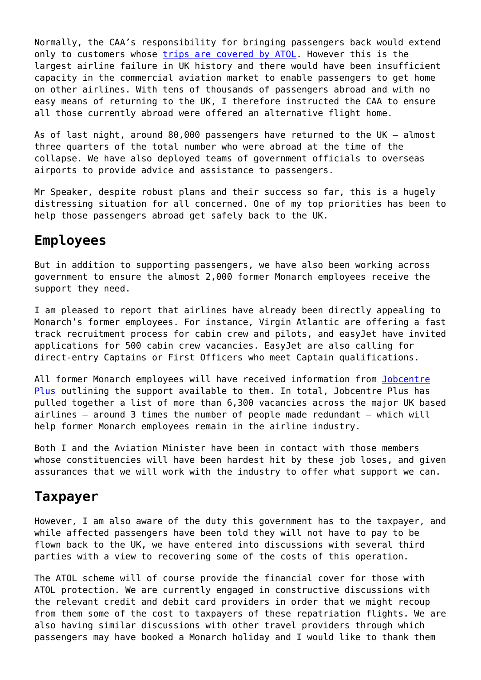Normally, the CAA's responsibility for bringing passengers back would extend only to customers whose [trips are covered by ATOL.](https://www.caa.co.uk/atol-protection/) However this is the largest airline failure in UK history and there would have been insufficient capacity in the commercial aviation market to enable passengers to get home on other airlines. With tens of thousands of passengers abroad and with no easy means of returning to the UK, I therefore instructed the CAA to ensure all those currently abroad were offered an alternative flight home.

As of last night, around 80,000 passengers have returned to the UK – almost three quarters of the total number who were abroad at the time of the collapse. We have also deployed teams of government officials to overseas airports to provide advice and assistance to passengers.

Mr Speaker, despite robust plans and their success so far, this is a hugely distressing situation for all concerned. One of my top priorities has been to help those passengers abroad get safely back to the UK.

### **Employees**

But in addition to supporting passengers, we have also been working across government to ensure the almost 2,000 former Monarch employees receive the support they need.

I am pleased to report that airlines have already been directly appealing to Monarch's former employees. For instance, Virgin Atlantic are offering a fast track recruitment process for cabin crew and pilots, and easyJet have invited applications for 500 cabin crew vacancies. EasyJet are also calling for direct-entry Captains or First Officers who meet Captain qualifications.

All former Monarch employees will have received information from [Jobcentre](https://www.gov.uk/contact-jobcentre-plus) [Plus](https://www.gov.uk/contact-jobcentre-plus) outlining the support available to them. In total, Jobcentre Plus has pulled together a list of more than 6,300 vacancies across the major UK based airlines – around 3 times the number of people made redundant – which will help former Monarch employees remain in the airline industry.

Both I and the Aviation Minister have been in contact with those members whose constituencies will have been hardest hit by these job loses, and given assurances that we will work with the industry to offer what support we can.

### **Taxpayer**

However, I am also aware of the duty this government has to the taxpayer, and while affected passengers have been told they will not have to pay to be flown back to the UK, we have entered into discussions with several third parties with a view to recovering some of the costs of this operation.

The ATOL scheme will of course provide the financial cover for those with ATOL protection. We are currently engaged in constructive discussions with the relevant credit and debit card providers in order that we might recoup from them some of the cost to taxpayers of these repatriation flights. We are also having similar discussions with other travel providers through which passengers may have booked a Monarch holiday and I would like to thank them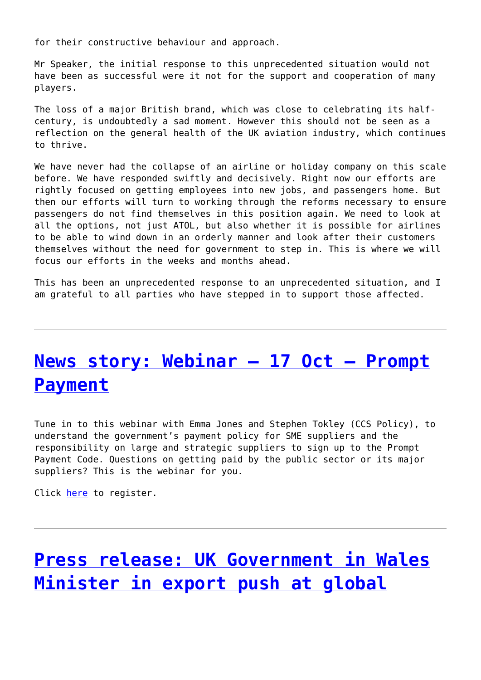for their constructive behaviour and approach.

Mr Speaker, the initial response to this unprecedented situation would not have been as successful were it not for the support and cooperation of many players.

The loss of a major British brand, which was close to celebrating its halfcentury, is undoubtedly a sad moment. However this should not be seen as a reflection on the general health of the UK aviation industry, which continues to thrive.

We have never had the collapse of an airline or holiday company on this scale before. We have responded swiftly and decisively. Right now our efforts are rightly focused on getting employees into new jobs, and passengers home. But then our efforts will turn to working through the reforms necessary to ensure passengers do not find themselves in this position again. We need to look at all the options, not just ATOL, but also whether it is possible for airlines to be able to wind down in an orderly manner and look after their customers themselves without the need for government to step in. This is where we will focus our efforts in the weeks and months ahead.

This has been an unprecedented response to an unprecedented situation, and I am grateful to all parties who have stepped in to support those affected.

## **[News story: Webinar – 17 Oct – Prompt](http://www.government-world.com/news-story-webinar-17-oct-prompt-payment/) [Payment](http://www.government-world.com/news-story-webinar-17-oct-prompt-payment/)**

Tune in to this webinar with Emma Jones and Stephen Tokley (CCS Policy), to understand the government's payment policy for SME suppliers and the responsibility on large and strategic suppliers to sign up to the Prompt Payment Code. Questions on getting paid by the public sector or its major suppliers? This is the webinar for you.

Click [here](https://crowncommercial.webex.com/crowncommercial/j.php?MTID=me14af142e612c4c121bf023e152709df) to register.

# **[Press release: UK Government in Wales](http://www.government-world.com/press-release-uk-government-in-wales-minister-in-export-push-at-global-welsh-whisky-firm/) [Minister in export push at global](http://www.government-world.com/press-release-uk-government-in-wales-minister-in-export-push-at-global-welsh-whisky-firm/)**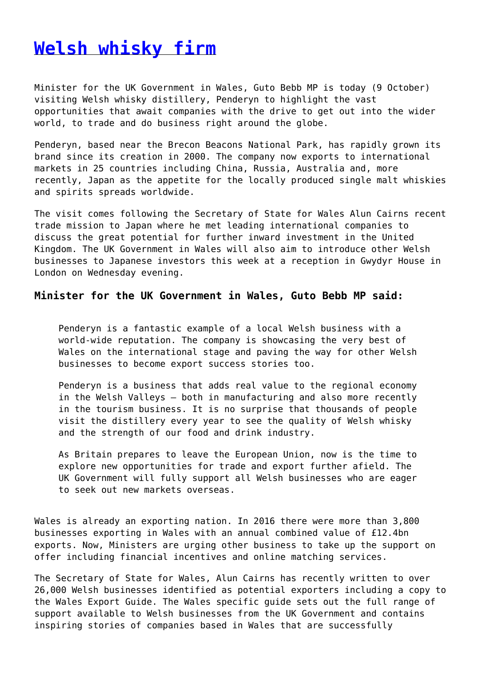### **[Welsh whisky firm](http://www.government-world.com/press-release-uk-government-in-wales-minister-in-export-push-at-global-welsh-whisky-firm/)**

Minister for the UK Government in Wales, Guto Bebb MP is today (9 October) visiting Welsh whisky distillery, Penderyn to highlight the vast opportunities that await companies with the drive to get out into the wider world, to trade and do business right around the globe.

Penderyn, based near the Brecon Beacons National Park, has rapidly grown its brand since its creation in 2000. The company now exports to international markets in 25 countries including China, Russia, Australia and, more recently, Japan as the appetite for the locally produced single malt whiskies and spirits spreads worldwide.

The visit comes following the Secretary of State for Wales Alun Cairns recent trade mission to Japan where he met leading international companies to discuss the great potential for further inward investment in the United Kingdom. The UK Government in Wales will also aim to introduce other Welsh businesses to Japanese investors this week at a reception in Gwydyr House in London on Wednesday evening.

#### **Minister for the UK Government in Wales, Guto Bebb MP said:**

Penderyn is a fantastic example of a local Welsh business with a world-wide reputation. The company is showcasing the very best of Wales on the international stage and paving the way for other Welsh businesses to become export success stories too.

Penderyn is a business that adds real value to the regional economy in the Welsh Valleys – both in manufacturing and also more recently in the tourism business. It is no surprise that thousands of people visit the distillery every year to see the quality of Welsh whisky and the strength of our food and drink industry.

As Britain prepares to leave the European Union, now is the time to explore new opportunities for trade and export further afield. The UK Government will fully support all Welsh businesses who are eager to seek out new markets overseas.

Wales is already an exporting nation. In 2016 there were more than 3,800 businesses exporting in Wales with an annual combined value of £12.4bn exports. Now, Ministers are urging other business to take up the support on offer including financial incentives and online matching services.

The Secretary of State for Wales, Alun Cairns has recently written to over 26,000 Welsh businesses identified as potential exporters including a copy to the Wales Export Guide. The Wales specific guide sets out the full range of support available to Welsh businesses from the UK Government and contains inspiring stories of companies based in Wales that are successfully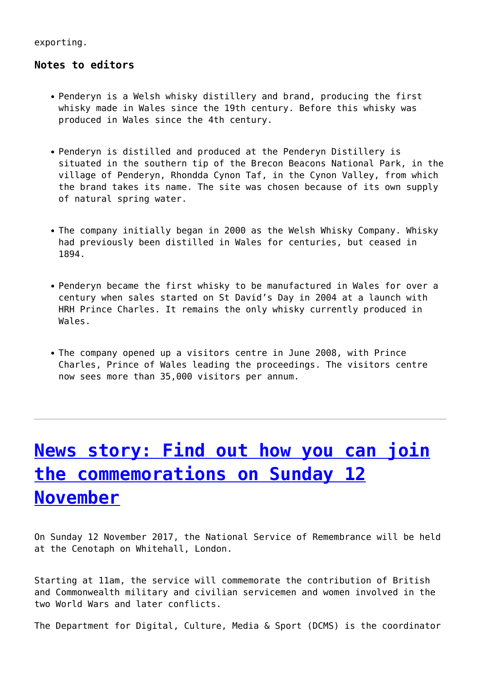exporting.

#### **Notes to editors**

- Penderyn is a Welsh whisky distillery and brand, producing the first whisky made in Wales since the 19th century. Before this whisky was produced in Wales since the 4th century.
- Penderyn is distilled and produced at the Penderyn Distillery is situated in the southern tip of the Brecon Beacons National Park, in the village of Penderyn, Rhondda Cynon Taf, in the Cynon Valley, from which the brand takes its name. The site was chosen because of its own supply of natural spring water.
- The company initially began in 2000 as the Welsh Whisky Company. Whisky had previously been distilled in Wales for centuries, but ceased in 1894.
- Penderyn became the first whisky to be manufactured in Wales for over a century when sales started on St David's Day in 2004 at a launch with HRH Prince Charles. It remains the only whisky currently produced in Wales.
- The company opened up a visitors centre in June 2008, with Prince Charles, Prince of Wales leading the proceedings. The visitors centre now sees more than 35,000 visitors per annum.

# **[News story: Find out how you can join](http://www.government-world.com/news-story-find-out-how-you-can-join-the-commemorations-on-sunday-12-november/) [the commemorations on Sunday 12](http://www.government-world.com/news-story-find-out-how-you-can-join-the-commemorations-on-sunday-12-november/) [November](http://www.government-world.com/news-story-find-out-how-you-can-join-the-commemorations-on-sunday-12-november/)**

On Sunday 12 November 2017, the National Service of Remembrance will be held at the Cenotaph on Whitehall, London.

Starting at 11am, the service will commemorate the contribution of British and Commonwealth military and civilian servicemen and women involved in the two World Wars and later conflicts.

The Department for Digital, Culture, Media & Sport (DCMS) is the coordinator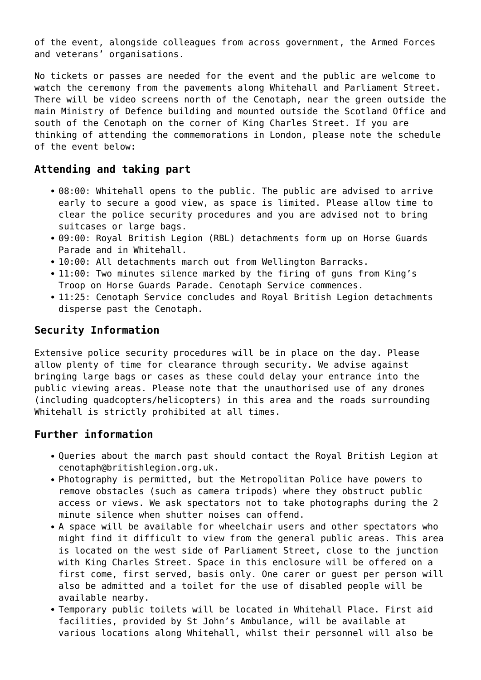of the event, alongside colleagues from across government, the Armed Forces and veterans' organisations.

No tickets or passes are needed for the event and the public are welcome to watch the ceremony from the pavements along Whitehall and Parliament Street. There will be video screens north of the Cenotaph, near the green outside the main Ministry of Defence building and mounted outside the Scotland Office and south of the Cenotaph on the corner of King Charles Street. If you are thinking of attending the commemorations in London, please note the schedule of the event below:

#### **Attending and taking part**

- 08:00: Whitehall opens to the public. The public are advised to arrive early to secure a good view, as space is limited. Please allow time to clear the police security procedures and you are advised not to bring suitcases or large bags.
- 09:00: Royal British Legion (RBL) detachments form up on Horse Guards Parade and in Whitehall.
- 10:00: All detachments march out from Wellington Barracks.
- 11:00: Two minutes silence marked by the firing of guns from King's Troop on Horse Guards Parade. Cenotaph Service commences.
- 11:25: Cenotaph Service concludes and Royal British Legion detachments disperse past the Cenotaph.

#### **Security Information**

Extensive police security procedures will be in place on the day. Please allow plenty of time for clearance through security. We advise against bringing large bags or cases as these could delay your entrance into the public viewing areas. Please note that the unauthorised use of any drones (including quadcopters/helicopters) in this area and the roads surrounding Whitehall is strictly prohibited at all times.

#### **Further information**

- Queries about the march past should contact the Royal British Legion at cenotaph@britishlegion.org.uk.
- Photography is permitted, but the Metropolitan Police have powers to remove obstacles (such as camera tripods) where they obstruct public access or views. We ask spectators not to take photographs during the 2 minute silence when shutter noises can offend.
- A space will be available for wheelchair users and other spectators who might find it difficult to view from the general public areas. This area is located on the west side of Parliament Street, close to the junction with King Charles Street. Space in this enclosure will be offered on a first come, first served, basis only. One carer or guest per person will also be admitted and a toilet for the use of disabled people will be available nearby.
- Temporary public toilets will be located in Whitehall Place. First aid facilities, provided by St John's Ambulance, will be available at various locations along Whitehall, whilst their personnel will also be